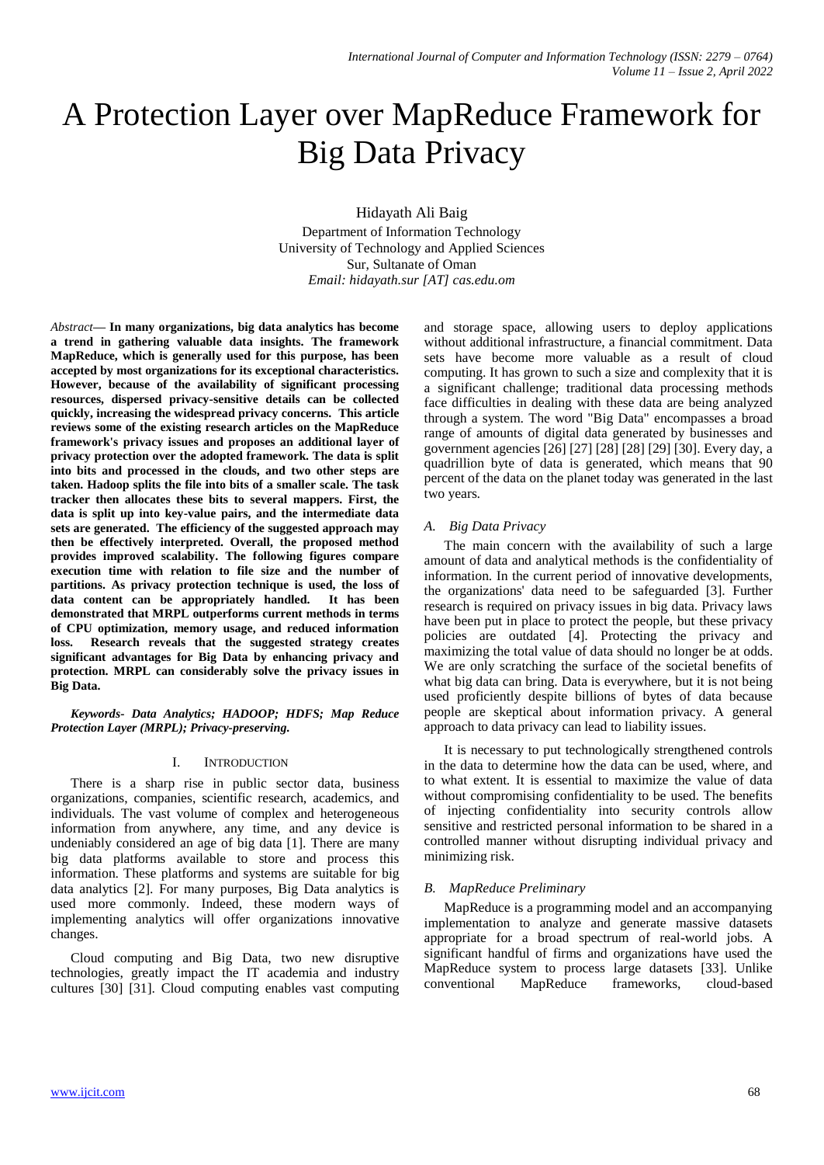# A Protection Layer over MapReduce Framework for Big Data Privacy

Hidayath Ali Baig Department of Information Technology University of Technology and Applied Sciences Sur, Sultanate of Oman *Email: hidayath.sur [AT] cas.edu.om*

*Abstract***— In many organizations, big data analytics has become a trend in gathering valuable data insights. The framework MapReduce, which is generally used for this purpose, has been accepted by most organizations for its exceptional characteristics. However, because of the availability of significant processing resources, dispersed privacy-sensitive details can be collected quickly, increasing the widespread privacy concerns. This article reviews some of the existing research articles on the MapReduce framework's privacy issues and proposes an additional layer of privacy protection over the adopted framework. The data is split into bits and processed in the clouds, and two other steps are taken. Hadoop splits the file into bits of a smaller scale. The task tracker then allocates these bits to several mappers. First, the data is split up into key-value pairs, and the intermediate data sets are generated. The efficiency of the suggested approach may then be effectively interpreted. Overall, the proposed method provides improved scalability. The following figures compare execution time with relation to file size and the number of partitions. As privacy protection technique is used, the loss of data content can be appropriately handled. It has been demonstrated that MRPL outperforms current methods in terms of CPU optimization, memory usage, and reduced information loss. Research reveals that the suggested strategy creates significant advantages for Big Data by enhancing privacy and protection. MRPL can considerably solve the privacy issues in Big Data.**

*Keywords- Data Analytics; HADOOP; HDFS; Map Reduce Protection Layer (MRPL); Privacy-preserving.*

# I. INTRODUCTION

There is a sharp rise in public sector data, business organizations, companies, scientific research, academics, and individuals. The vast volume of complex and heterogeneous information from anywhere, any time, and any device is undeniably considered an age of big data [1]. There are many big data platforms available to store and process this information. These platforms and systems are suitable for big data analytics [2]. For many purposes, Big Data analytics is used more commonly. Indeed, these modern ways of implementing analytics will offer organizations innovative changes.

Cloud computing and Big Data, two new disruptive technologies, greatly impact the IT academia and industry cultures [30] [31]. Cloud computing enables vast computing and storage space, allowing users to deploy applications without additional infrastructure, a financial commitment. Data sets have become more valuable as a result of cloud computing. It has grown to such a size and complexity that it is a significant challenge; traditional data processing methods face difficulties in dealing with these data are being analyzed through a system. The word "Big Data" encompasses a broad range of amounts of digital data generated by businesses and government agencies [26] [27] [28] [28] [29] [30]. Every day, a quadrillion byte of data is generated, which means that 90 percent of the data on the planet today was generated in the last two years.

# *A. Big Data Privacy*

The main concern with the availability of such a large amount of data and analytical methods is the confidentiality of information. In the current period of innovative developments, the organizations' data need to be safeguarded [3]. Further research is required on privacy issues in big data. Privacy laws have been put in place to protect the people, but these privacy policies are outdated [4]. Protecting the privacy and maximizing the total value of data should no longer be at odds. We are only scratching the surface of the societal benefits of what big data can bring. Data is everywhere, but it is not being used proficiently despite billions of bytes of data because people are skeptical about information privacy. A general approach to data privacy can lead to liability issues.

It is necessary to put technologically strengthened controls in the data to determine how the data can be used, where, and to what extent. It is essential to maximize the value of data without compromising confidentiality to be used. The benefits of injecting confidentiality into security controls allow sensitive and restricted personal information to be shared in a controlled manner without disrupting individual privacy and minimizing risk.

# *B. MapReduce Preliminary*

MapReduce is a programming model and an accompanying implementation to analyze and generate massive datasets appropriate for a broad spectrum of real-world jobs. A significant handful of firms and organizations have used the MapReduce system to process large datasets [33]. Unlike conventional MapReduce frameworks, cloud-based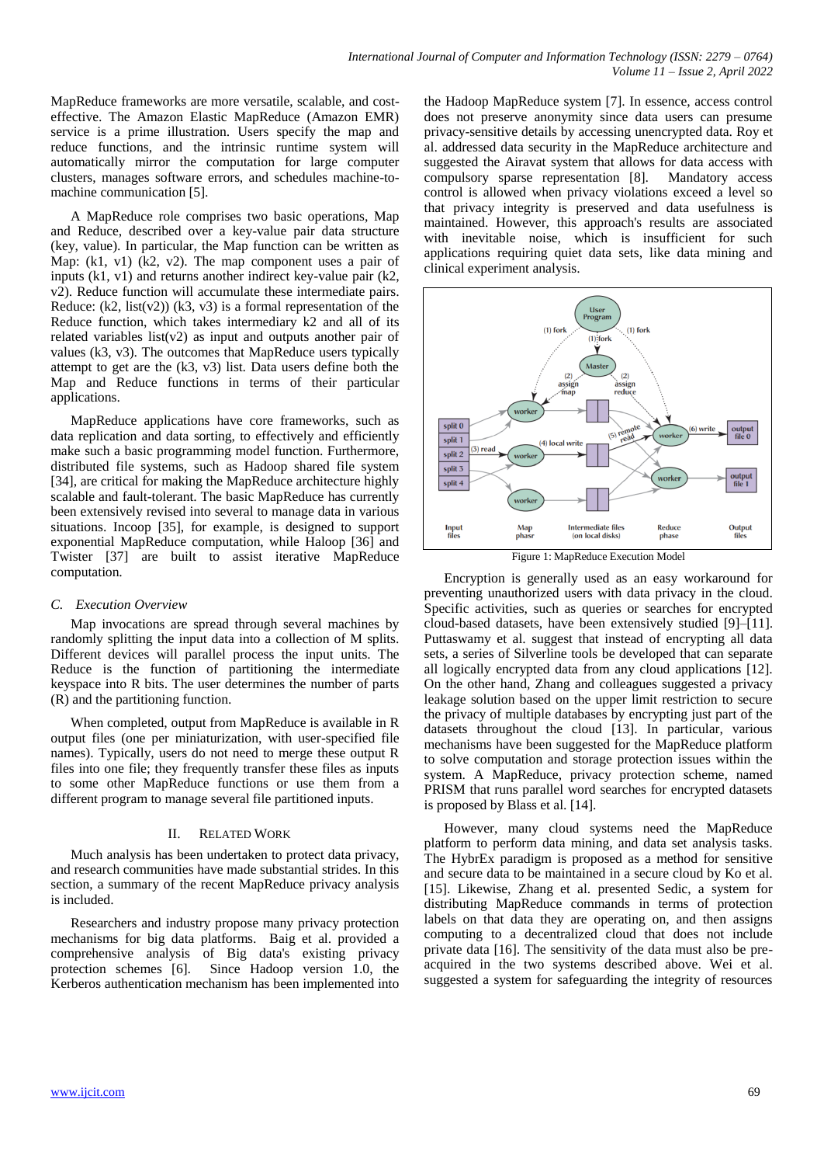MapReduce frameworks are more versatile, scalable, and costeffective. The Amazon Elastic MapReduce (Amazon EMR) service is a prime illustration. Users specify the map and reduce functions, and the intrinsic runtime system will automatically mirror the computation for large computer clusters, manages software errors, and schedules machine-tomachine communication [5].

A MapReduce role comprises two basic operations, Map and Reduce, described over a key-value pair data structure (key, value). In particular, the Map function can be written as Map: (k1, v1) (k2, v2). The map component uses a pair of inputs (k1, v1) and returns another indirect key-value pair (k2, v2). Reduce function will accumulate these intermediate pairs. Reduce:  $(k2, list(v2))$   $(k3, v3)$  is a formal representation of the Reduce function, which takes intermediary k2 and all of its related variables list( $v2$ ) as input and outputs another pair of values (k3, v3). The outcomes that MapReduce users typically attempt to get are the (k3, v3) list. Data users define both the Map and Reduce functions in terms of their particular applications.

MapReduce applications have core frameworks, such as data replication and data sorting, to effectively and efficiently make such a basic programming model function. Furthermore, distributed file systems, such as Hadoop shared file system [34], are critical for making the MapReduce architecture highly scalable and fault-tolerant. The basic MapReduce has currently been extensively revised into several to manage data in various situations. Incoop [35], for example, is designed to support exponential MapReduce computation, while Haloop [36] and Twister [37] are built to assist iterative MapReduce computation.

# *C. Execution Overview*

Map invocations are spread through several machines by randomly splitting the input data into a collection of M splits. Different devices will parallel process the input units. The Reduce is the function of partitioning the intermediate keyspace into R bits. The user determines the number of parts (R) and the partitioning function.

When completed, output from MapReduce is available in R output files (one per miniaturization, with user-specified file names). Typically, users do not need to merge these output R files into one file; they frequently transfer these files as inputs to some other MapReduce functions or use them from a different program to manage several file partitioned inputs.

# II. RELATED WORK

Much analysis has been undertaken to protect data privacy, and research communities have made substantial strides. In this section, a summary of the recent MapReduce privacy analysis is included.

Researchers and industry propose many privacy protection mechanisms for big data platforms. Baig et al. provided a comprehensive analysis of Big data's existing privacy protection schemes [6]. Since Hadoop version 1.0, the Kerberos authentication mechanism has been implemented into

the Hadoop MapReduce system [7]. In essence, access control does not preserve anonymity since data users can presume privacy-sensitive details by accessing unencrypted data. Roy et al. addressed data security in the MapReduce architecture and suggested the Airavat system that allows for data access with compulsory sparse representation [8]. Mandatory access control is allowed when privacy violations exceed a level so that privacy integrity is preserved and data usefulness is maintained. However, this approach's results are associated with inevitable noise, which is insufficient for such applications requiring quiet data sets, like data mining and clinical experiment analysis.



Figure 1: MapReduce Execution Model

Encryption is generally used as an easy workaround for preventing unauthorized users with data privacy in the cloud. Specific activities, such as queries or searches for encrypted cloud-based datasets, have been extensively studied [9]–[11]. Puttaswamy et al. suggest that instead of encrypting all data sets, a series of Silverline tools be developed that can separate all logically encrypted data from any cloud applications [12]. On the other hand, Zhang and colleagues suggested a privacy leakage solution based on the upper limit restriction to secure the privacy of multiple databases by encrypting just part of the datasets throughout the cloud [13]. In particular, various mechanisms have been suggested for the MapReduce platform to solve computation and storage protection issues within the system. A MapReduce, privacy protection scheme, named PRISM that runs parallel word searches for encrypted datasets is proposed by Blass et al. [14].

However, many cloud systems need the MapReduce platform to perform data mining, and data set analysis tasks. The HybrEx paradigm is proposed as a method for sensitive and secure data to be maintained in a secure cloud by Ko et al. [15]. Likewise, Zhang et al. presented Sedic, a system for distributing MapReduce commands in terms of protection labels on that data they are operating on, and then assigns computing to a decentralized cloud that does not include private data [16]. The sensitivity of the data must also be preacquired in the two systems described above. Wei et al. suggested a system for safeguarding the integrity of resources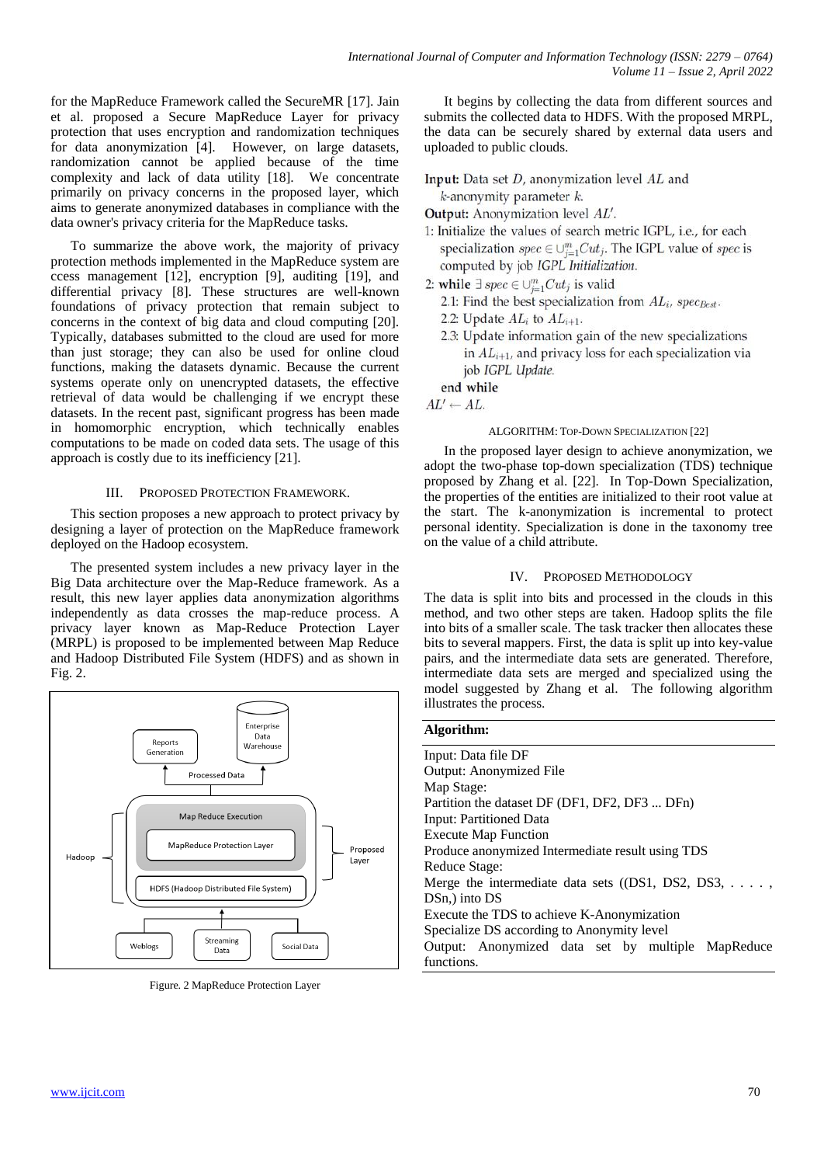for the MapReduce Framework called the SecureMR [17]. Jain et al. proposed a Secure MapReduce Layer for privacy protection that uses encryption and randomization techniques for data anonymization [4]. However, on large datasets, randomization cannot be applied because of the time complexity and lack of data utility [18]. We concentrate primarily on privacy concerns in the proposed layer, which aims to generate anonymized databases in compliance with the data owner's privacy criteria for the MapReduce tasks.

To summarize the above work, the majority of privacy protection methods implemented in the MapReduce system are ccess management [12], encryption [9], auditing [19], and differential privacy [8]. These structures are well-known foundations of privacy protection that remain subject to concerns in the context of big data and cloud computing [20]. Typically, databases submitted to the cloud are used for more than just storage; they can also be used for online cloud functions, making the datasets dynamic. Because the current systems operate only on unencrypted datasets, the effective retrieval of data would be challenging if we encrypt these datasets. In the recent past, significant progress has been made in homomorphic encryption, which technically enables computations to be made on coded data sets. The usage of this approach is costly due to its inefficiency [21].

## III. PROPOSED PROTECTION FRAMEWORK.

This section proposes a new approach to protect privacy by designing a layer of protection on the MapReduce framework deployed on the Hadoop ecosystem.

The presented system includes a new privacy layer in the Big Data architecture over the Map-Reduce framework. As a result, this new layer applies data anonymization algorithms independently as data crosses the map-reduce process. A privacy layer known as Map-Reduce Protection Layer (MRPL) is proposed to be implemented between Map Reduce and Hadoop Distributed File System (HDFS) and as shown in Fig. 2.



Figure. 2 MapReduce Protection Layer

It begins by collecting the data from different sources and submits the collected data to HDFS. With the proposed MRPL, the data can be securely shared by external data users and uploaded to public clouds.

Input: Data set *D*, anonymization level *AL* and  $k$ -anonymity parameter  $k$ .

**Output:** Anonymization level AL'.

- 1: Initialize the values of search metric IGPL, i.e., for each specialization  $spec \in \bigcup_{i=1}^{m}Cut_j$ . The IGPL value of  $spec$  is computed by job IGPL Initialization.
- 2: while  $\exists spec \in \bigcup_{i=1}^{m} Cut_j$  is valid
	- 2.1: Find the best specialization from  $AL_i$ , spec<sub>Best</sub>.
	- 2.2: Update  $AL_i$  to  $AL_{i+1}$ .
	- 2.3: Update information gain of the new specializations in  $AL_{i+1}$ , and privacy loss for each specialization via job IGPL Update.

end while

 $AL' \leftarrow AL$ 

**Algorithm:**

#### ALGORITHM: TOP-DOWN SPECIALIZATION [22]

In the proposed layer design to achieve anonymization, we adopt the two-phase top-down specialization (TDS) technique proposed by Zhang et al. [22]. In Top-Down Specialization, the properties of the entities are initialized to their root value at the start. The k-anonymization is incremental to protect personal identity. Specialization is done in the taxonomy tree on the value of a child attribute.

## IV. PROPOSED METHODOLOGY

The data is split into bits and processed in the clouds in this method, and two other steps are taken. Hadoop splits the file into bits of a smaller scale. The task tracker then allocates these bits to several mappers. First, the data is split up into key-value pairs, and the intermediate data sets are generated. Therefore, intermediate data sets are merged and specialized using the model suggested by Zhang et al. The following algorithm illustrates the process.

| Algoriumi.                                             |  |  |  |  |
|--------------------------------------------------------|--|--|--|--|
| Input: Data file DF                                    |  |  |  |  |
| <b>Output: Anonymized File</b>                         |  |  |  |  |
| Map Stage:                                             |  |  |  |  |
| Partition the dataset DF (DF1, DF2, DF3  DFn)          |  |  |  |  |
| Input: Partitioned Data                                |  |  |  |  |
| <b>Execute Map Function</b>                            |  |  |  |  |
| Produce anonymized Intermediate result using TDS       |  |  |  |  |
| Reduce Stage:                                          |  |  |  |  |
| Merge the intermediate data sets $($ (DS1, DS2, DS3, , |  |  |  |  |
| DSn, into DS                                           |  |  |  |  |
| Execute the TDS to achieve K-Anonymization             |  |  |  |  |
| Specialize DS according to Anonymity level             |  |  |  |  |
| Output: Anonymized data set by multiple MapReduce      |  |  |  |  |
| functions.                                             |  |  |  |  |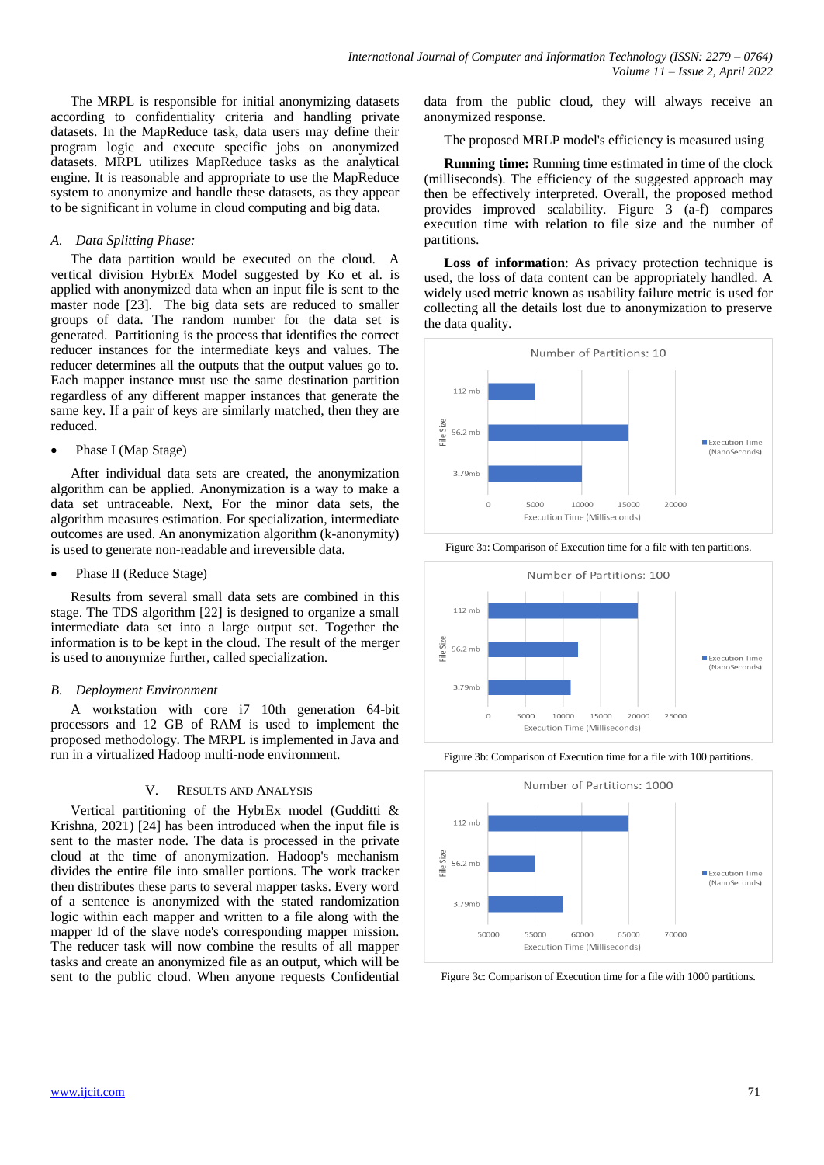The MRPL is responsible for initial anonymizing datasets according to confidentiality criteria and handling private datasets. In the MapReduce task, data users may define their program logic and execute specific jobs on anonymized datasets. MRPL utilizes MapReduce tasks as the analytical engine. It is reasonable and appropriate to use the MapReduce system to anonymize and handle these datasets, as they appear to be significant in volume in cloud computing and big data.

## *A. Data Splitting Phase:*

The data partition would be executed on the cloud. A vertical division HybrEx Model suggested by Ko et al. is applied with anonymized data when an input file is sent to the master node [23]. The big data sets are reduced to smaller groups of data. The random number for the data set is generated. Partitioning is the process that identifies the correct reducer instances for the intermediate keys and values. The reducer determines all the outputs that the output values go to. Each mapper instance must use the same destination partition regardless of any different mapper instances that generate the same key. If a pair of keys are similarly matched, then they are reduced.

## Phase I (Map Stage)

After individual data sets are created, the anonymization algorithm can be applied. Anonymization is a way to make a data set untraceable. Next, For the minor data sets, the algorithm measures estimation. For specialization, intermediate outcomes are used. An anonymization algorithm (k-anonymity) is used to generate non-readable and irreversible data.

Phase II (Reduce Stage)

Results from several small data sets are combined in this stage. The TDS algorithm [22] is designed to organize a small intermediate data set into a large output set. Together the information is to be kept in the cloud. The result of the merger is used to anonymize further, called specialization.

## *B. Deployment Environment*

A workstation with core i7 10th generation 64-bit processors and 12 GB of RAM is used to implement the proposed methodology. The MRPL is implemented in Java and run in a virtualized Hadoop multi-node environment.

#### V. RESULTS AND ANALYSIS

Vertical partitioning of the HybrEx model (Gudditti & Krishna, 2021) [24] has been introduced when the input file is sent to the master node. The data is processed in the private cloud at the time of anonymization. Hadoop's mechanism divides the entire file into smaller portions. The work tracker then distributes these parts to several mapper tasks. Every word of a sentence is anonymized with the stated randomization logic within each mapper and written to a file along with the mapper Id of the slave node's corresponding mapper mission. The reducer task will now combine the results of all mapper tasks and create an anonymized file as an output, which will be sent to the public cloud. When anyone requests Confidential

data from the public cloud, they will always receive an anonymized response.

The proposed MRLP model's efficiency is measured using

**Running time:** Running time estimated in time of the clock (milliseconds). The efficiency of the suggested approach may then be effectively interpreted. Overall, the proposed method provides improved scalability. Figure 3 (a-f) compares execution time with relation to file size and the number of partitions.

**Loss of information**: As privacy protection technique is used, the loss of data content can be appropriately handled. A widely used metric known as usability failure metric is used for collecting all the details lost due to anonymization to preserve the data quality.











Figure 3c: Comparison of Execution time for a file with 1000 partitions.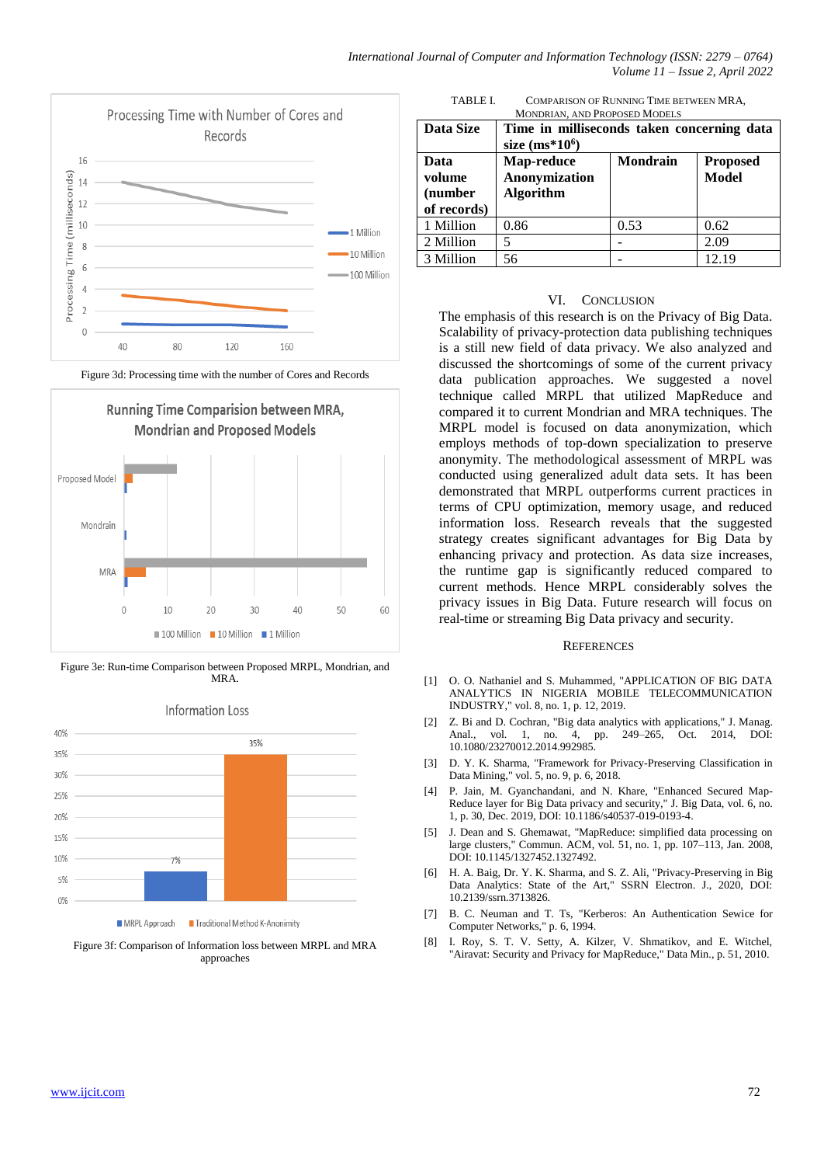

Figure 3d: Processing time with the number of Cores and Records



Figure 3e: Run-time Comparison between Proposed MRPL, Mondrian, and **MRA** 



Figure 3f: Comparison of Information loss between MRPL and MRA approaches

TABLE I. COMPARISON OF RUNNING TIME BETWEEN MRA,

| <b>CONFANDUS OF INJININUE LINE DETWEEN ININE</b> |
|--------------------------------------------------|
| <b>MONDRIAN. AND PROPOSED MODELS</b>             |

| Data Size                                | Time in milliseconds taken concerning data<br>size $(ms*106)$ |                 |                                 |  |
|------------------------------------------|---------------------------------------------------------------|-----------------|---------------------------------|--|
| Data<br>volume<br>(number<br>of records) | Map-reduce<br><b>Anonymization</b><br><b>Algorithm</b>        | <b>Mondrain</b> | <b>Proposed</b><br><b>Model</b> |  |
| 1 Million                                | 0.86                                                          | 0.53            | 0.62                            |  |
| 2 Million                                | 5                                                             |                 | 2.09                            |  |
| 3 Million                                | 56                                                            |                 | 12.19                           |  |

#### VI. CONCLUSION

The emphasis of this research is on the Privacy of Big Data. Scalability of privacy-protection data publishing techniques is a still new field of data privacy. We also analyzed and discussed the shortcomings of some of the current privacy data publication approaches. We suggested a novel technique called MRPL that utilized MapReduce and compared it to current Mondrian and MRA techniques. The MRPL model is focused on data anonymization, which employs methods of top-down specialization to preserve anonymity. The methodological assessment of MRPL was conducted using generalized adult data sets. It has been demonstrated that MRPL outperforms current practices in terms of CPU optimization, memory usage, and reduced information loss. Research reveals that the suggested strategy creates significant advantages for Big Data by enhancing privacy and protection. As data size increases, the runtime gap is significantly reduced compared to current methods. Hence MRPL considerably solves the privacy issues in Big Data. Future research will focus on real-time or streaming Big Data privacy and security.

#### **REFERENCES**

- [1] O. O. Nathaniel and S. Muhammed, "APPLICATION OF BIG DATA ANALYTICS IN NIGERIA MOBILE TELECOMMUNICATION INDUSTRY," vol. 8, no. 1, p. 12, 2019.
- [2] Z. Bi and D. Cochran, "Big data analytics with applications," J. Manag. Anal., vol. 1, no. 4, pp. 249–265, Oct. 2014, DOI: 10.1080/23270012.2014.992985.
- [3] D. Y. K. Sharma, "Framework for Privacy-Preserving Classification in Data Mining," vol. 5, no. 9, p. 6, 2018.
- [4] P. Jain, M. Gyanchandani, and N. Khare, "Enhanced Secured Map-Reduce layer for Big Data privacy and security," J. Big Data, vol. 6, no. 1, p. 30, Dec. 2019, DOI: 10.1186/s40537-019-0193-4.
- [5] J. Dean and S. Ghemawat, "MapReduce: simplified data processing on large clusters," Commun. ACM, vol. 51, no. 1, pp. 107–113, Jan. 2008, DOI: 10.1145/1327452.1327492.
- [6] H. A. Baig, Dr. Y. K. Sharma, and S. Z. Ali, "Privacy-Preserving in Big Data Analytics: State of the Art," SSRN Electron. J., 2020, DOI: 10.2139/ssrn.3713826.
- [7] B. C. Neuman and T. Ts, "Kerberos: An Authentication Sewice for Computer Networks," p. 6, 1994.
- I. Roy, S. T. V. Setty, A. Kilzer, V. Shmatikov, and E. Witchel, "Airavat: Security and Privacy for MapReduce," Data Min., p. 51, 2010.

Information Loss